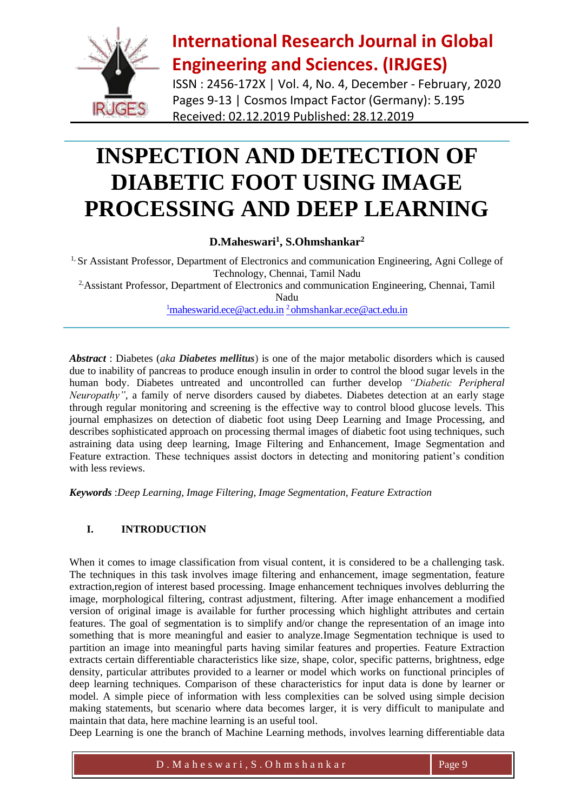

ISSN : 2456-172X | Vol. 4, No. 4, December - February, 2020 Pages 9-13 | Cosmos Impact Factor (Germany): 5.195 Received: 02.12.2019 Published: 28.12.2019

# **INSPECTION AND DETECTION OF DIABETIC FOOT USING IMAGE PROCESSING AND DEEP LEARNING**

#### **D.Maheswari<sup>1</sup> , S.Ohmshankar<sup>2</sup>**

<sup>1,</sup> Sr Assistant Professor, Department of Electronics and communication Engineering, Agni College of Technology, Chennai, Tamil Nadu <sup>2,</sup>Assistant Professor, Department of Electronics and communication Engineering, Chennai, Tamil Nadu  $1$ [maheswarid.ece@act.edu.in](mailto:1maheswarid.ece@act.edu.in)  $2$  [ohmshankar.ece@act.edu.in](mailto:2%20ohmshankar.ece@act.edu.in)

*Abstract* : Diabetes (*aka Diabetes mellitus*) is one of the major metabolic disorders which is caused due to inability of pancreas to produce enough insulin in order to control the blood sugar levels in the human body. Diabetes untreated and uncontrolled can further develop *"Diabetic Peripheral Neuropathy"*, a family of nerve disorders caused by diabetes. Diabetes detection at an early stage through regular monitoring and screening is the effective way to control blood glucose levels. This journal emphasizes on detection of diabetic foot using Deep Learning and Image Processing, and describes sophisticated approach on processing thermal images of diabetic foot using techniques, such astraining data using deep learning, Image Filtering and Enhancement, Image Segmentation and Feature extraction. These techniques assist doctors in detecting and monitoring patient's condition with less reviews.

*Keywords* :*Deep Learning, Image Filtering, Image Segmentation, Feature Extraction*

#### **I. INTRODUCTION**

When it comes to image classification from visual content, it is considered to be a challenging task. The techniques in this task involves image filtering and enhancement, image segmentation, feature extraction,region of interest based processing. Image enhancement techniques involves deblurring the image, morphological filtering, contrast adjustment, filtering. After image enhancement a modified version of original image is available for further processing which highlight attributes and certain features. The goal of segmentation is to simplify and/or change the representation of an image into something that is more meaningful and easier to analyze.Image Segmentation technique is used to partition an image into meaningful parts having similar features and properties. Feature Extraction extracts certain differentiable characteristics like size, shape, color, specific patterns, brightness, edge density, particular attributes provided to a learner or model which works on functional principles of deep learning techniques. Comparison of these characteristics for input data is done by learner or model. A simple piece of information with less complexities can be solved using simple decision making statements, but scenario where data becomes larger, it is very difficult to manipulate and maintain that data, here machine learning is an useful tool.

Deep Learning is one the branch of Machine Learning methods, involves learning differentiable data

 $D. M$  a h e s w a r i , S . O h m s h a n k a r Page 9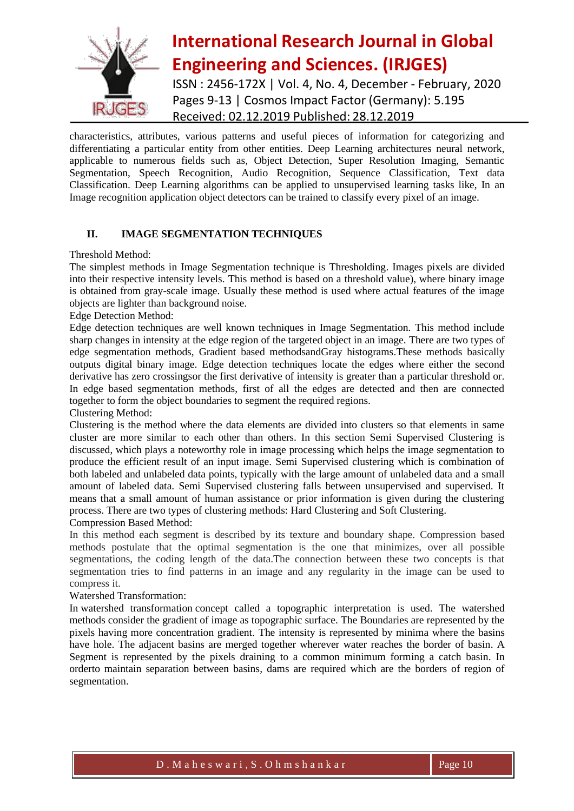

### **International Research Journal in Global Engineering and Sciences. (IRJGES)** ISSN : 2456-172X | Vol. 4, No. 4, December - February, 2020 Pages 9-13 | Cosmos Impact Factor (Germany): 5.195 Received: 02.12.2019 Published: 28.12.2019

characteristics, attributes, various patterns and useful pieces of information for categorizing and differentiating a particular entity from other entities. Deep Learning architectures neural network, applicable to numerous fields such as, Object Detection, Super Resolution Imaging, Semantic Segmentation, Speech Recognition, Audio Recognition, Sequence Classification, Text data Classification. Deep Learning algorithms can be applied to unsupervised learning tasks like, In an Image recognition application object detectors can be trained to classify every pixel of an image.

#### **II. IMAGE SEGMENTATION TECHNIQUES**

Threshold Method:

The simplest methods in Image Segmentation technique is Thresholding. Images pixels are divided into their respective intensity levels. This method is based on a threshold value), where binary image is obtained from gray-scale image. Usually these method is used where actual features of the image objects are lighter than background noise.

Edge Detection Method:

Edge detection techniques are well known techniques in Image Segmentation. This method include sharp changes in intensity at the edge region of the targeted object in an image. There are two types of edge segmentation methods, Gradient based methodsandGray histograms.These methods basically outputs digital binary image. Edge detection techniques locate the edges where either the second derivative has zero crossingsor the first derivative of intensity is greater than a particular threshold or. In edge based segmentation methods, first of all the edges are detected and then are connected together to form the object boundaries to segment the required regions.

Clustering Method:

Clustering is the method where the data elements are divided into clusters so that elements in same cluster are more similar to each other than others. In this section Semi Supervised Clustering is discussed, which plays a noteworthy role in image processing which helps the image segmentation to produce the efficient result of an input image. Semi Supervised clustering which is combination of both labeled and unlabeled data points, typically with the large amount of unlabeled data and a small amount of labeled data. Semi Supervised clustering falls between unsupervised and supervised. It means that a small amount of human assistance or prior information is given during the clustering process. There are two types of clustering methods: Hard Clustering and Soft Clustering. Compression Based Method:

In this method each segment is described by its texture and boundary shape. Compression based methods postulate that the optimal segmentation is the one that minimizes, over all possible segmentations, the coding length of the data.The connection between these two concepts is that segmentation tries to find patterns in an image and any regularity in the image can be used to compress it.

Watershed Transformation:

In watershed transformation concept called a topographic interpretation is used. The watershed methods consider the gradient of image as topographic surface. The Boundaries are represented by the pixels having more concentration gradient. The intensity is represented by minima where the basins have hole. The adjacent basins are merged together wherever water reaches the border of basin. A Segment is represented by the pixels draining to a common minimum forming a catch basin. In orderto maintain separation between basins, dams are required which are the borders of region of segmentation.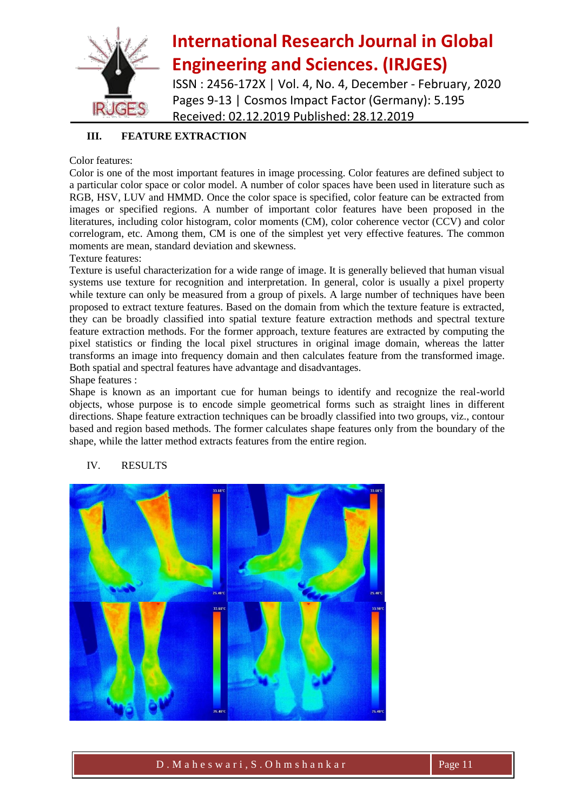

ISSN : 2456-172X | Vol. 4, No. 4, December - February, 2020 Pages 9-13 | Cosmos Impact Factor (Germany): 5.195 Received: 02.12.2019 Published: 28.12.2019

#### **III. FEATURE EXTRACTION**

#### Color features:

Color is one of the most important features in image processing. Color features are defined subject to a particular color space or color model. A number of color spaces have been used in literature such as RGB, HSV, LUV and HMMD. Once the color space is specified, color feature can be extracted from images or specified regions. A number of important color features have been proposed in the literatures, including color histogram, color moments (CM), color coherence vector (CCV) and color correlogram, etc. Among them, CM is one of the simplest yet very effective features. The common moments are mean, standard deviation and skewness.

Texture features:

Texture is useful characterization for a wide range of image. It is generally believed that human visual systems use texture for recognition and interpretation. In general, color is usually a pixel property while texture can only be measured from a group of pixels. A large number of techniques have been proposed to extract texture features. Based on the domain from which the texture feature is extracted, they can be broadly classified into spatial texture feature extraction methods and spectral texture feature extraction methods. For the former approach, texture features are extracted by computing the pixel statistics or finding the local pixel structures in original image domain, whereas the latter transforms an image into frequency domain and then calculates feature from the transformed image. Both spatial and spectral features have advantage and disadvantages.

Shape features :

Shape is known as an important cue for human beings to identify and recognize the real-world objects, whose purpose is to encode simple geometrical forms such as straight lines in different directions. Shape feature extraction techniques can be broadly classified into two groups, viz., contour based and region based methods. The former calculates shape features only from the boundary of the shape, while the latter method extracts features from the entire region.



#### IV. RESULTS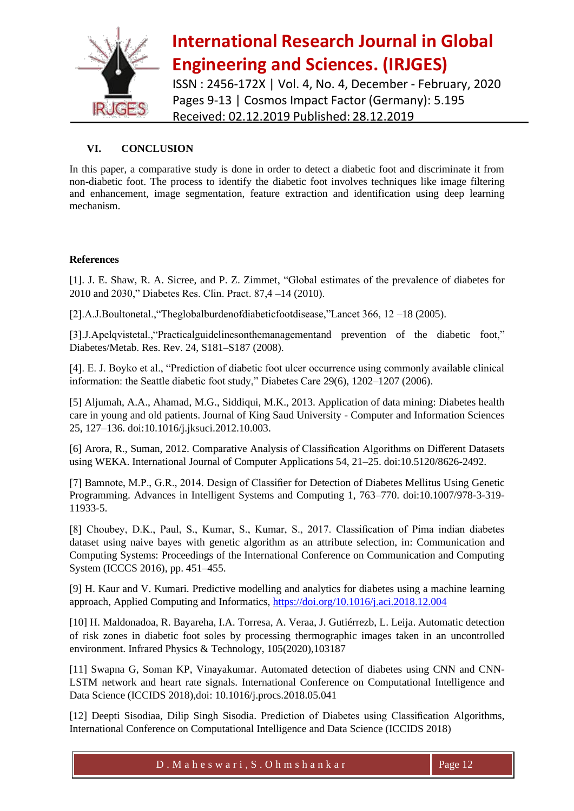

ISSN : 2456-172X | Vol. 4, No. 4, December - February, 2020 Pages 9-13 | Cosmos Impact Factor (Germany): 5.195 Received: 02.12.2019 Published: 28.12.2019

#### **VI. CONCLUSION**

In this paper, a comparative study is done in order to detect a diabetic foot and discriminate it from non-diabetic foot. The process to identify the diabetic foot involves techniques like image filtering and enhancement, image segmentation, feature extraction and identification using deep learning mechanism.

#### **References**

[1]. J. E. Shaw, R. A. Sicree, and P. Z. Zimmet, "Global estimates of the prevalence of diabetes for 2010 and 2030," Diabetes Res. Clin. Pract. 87,4 –14 (2010).

[2].A.J.Boultonetal.,"Theglobalburdenofdiabeticfootdisease,"Lancet 366, 12 –18 (2005).

[3].J.Apelqvistetal.,"Practicalguidelinesonthemanagementand prevention of the diabetic foot," Diabetes/Metab. Res. Rev. 24, S181–S187 (2008).

[4]. E. J. Boyko et al., "Prediction of diabetic foot ulcer occurrence using commonly available clinical information: the Seattle diabetic foot study," Diabetes Care 29(6), 1202–1207 (2006).

[5] Aljumah, A.A., Ahamad, M.G., Siddiqui, M.K., 2013. Application of data mining: Diabetes health care in young and old patients. Journal of King Saud University - Computer and Information Sciences 25, 127–136. doi:10.1016/j.jksuci.2012.10.003.

[6] Arora, R., Suman, 2012. Comparative Analysis of Classification Algorithms on Different Datasets using WEKA. International Journal of Computer Applications 54, 21–25. doi:10.5120/8626-2492.

[7] Bamnote, M.P., G.R., 2014. Design of Classifier for Detection of Diabetes Mellitus Using Genetic Programming. Advances in Intelligent Systems and Computing 1, 763–770. doi:10.1007/978-3-319- 11933-5.

[8] Choubey, D.K., Paul, S., Kumar, S., Kumar, S., 2017. Classification of Pima indian diabetes dataset using naive bayes with genetic algorithm as an attribute selection, in: Communication and Computing Systems: Proceedings of the International Conference on Communication and Computing System (ICCCS 2016), pp. 451–455.

[9] H. Kaur and V. Kumari. Predictive modelling and analytics for diabetes using a machine learning approach, Applied Computing and Informatics,<https://doi.org/10.1016/j.aci.2018.12.004>

[10] H. Maldonadoa, R. Bayareha, I.A. Torresa, A. Veraa, J. Gutiérrezb, L. Leija. Automatic detection of risk zones in diabetic foot soles by processing thermographic images taken in an uncontrolled environment. Infrared Physics & Technology, 105(2020),103187

[11] Swapna G, Soman KP, Vinayakumar. Automated detection of diabetes using CNN and CNN-LSTM network and heart rate signals. International Conference on Computational Intelligence and Data Science (ICCIDS 2018),doi: 10.1016/j.procs.2018.05.041

[12] Deepti Sisodiaa, Dilip Singh Sisodia. Prediction of Diabetes using Classification Algorithms, International Conference on Computational Intelligence and Data Science (ICCIDS 2018)